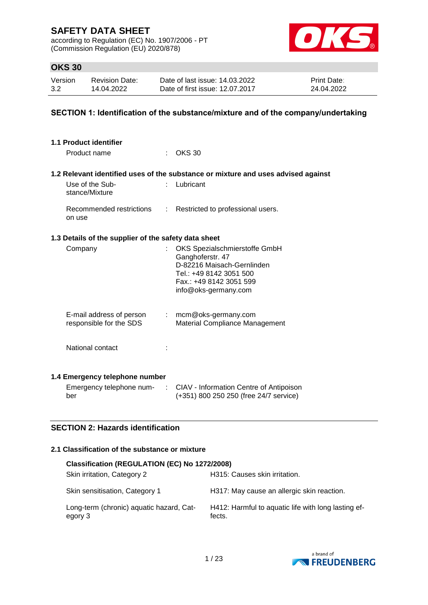according to Regulation (EC) No. 1907/2006 - PT (Commission Regulation (EU) 2020/878)



## **OKS 30**

| Version | <b>Revision Date:</b> | Date of last issue: 14.03.2022  | <b>Print Date:</b> |
|---------|-----------------------|---------------------------------|--------------------|
| 3.2     | 14.04.2022            | Date of first issue: 12.07.2017 | 24.04.2022         |

### **SECTION 1: Identification of the substance/mixture and of the company/undertaking**

| 1.1 Product identifier<br>Product name               |           | <b>OKS 30</b>                                                                                                                                                 |
|------------------------------------------------------|-----------|---------------------------------------------------------------------------------------------------------------------------------------------------------------|
|                                                      |           |                                                                                                                                                               |
|                                                      |           | 1.2 Relevant identified uses of the substance or mixture and uses advised against                                                                             |
| Use of the Sub-<br>stance/Mixture                    |           | Lubricant                                                                                                                                                     |
| Recommended restrictions<br>on use                   | t.        | Restricted to professional users.                                                                                                                             |
| 1.3 Details of the supplier of the safety data sheet |           |                                                                                                                                                               |
| Company                                              |           | OKS Spezialschmierstoffe GmbH<br>Ganghoferstr. 47<br>D-82216 Maisach-Gernlinden<br>Tel.: +49 8142 3051 500<br>Fax.: +49 8142 3051 599<br>info@oks-germany.com |
| E-mail address of person<br>responsible for the SDS  |           | $:$ mcm@oks-germany.com<br>Material Compliance Management                                                                                                     |
| National contact                                     |           |                                                                                                                                                               |
| 1.4 Emergency telephone number                       |           |                                                                                                                                                               |
| Emergency telephone num-<br>ber                      | $\sim 10$ | CIAV - Information Centre of Antipoison<br>(+351) 800 250 250 (free 24/7 service)                                                                             |

## **SECTION 2: Hazards identification**

### **2.1 Classification of the substance or mixture**

| Classification (REGULATION (EC) No 1272/2008)       |                                                               |
|-----------------------------------------------------|---------------------------------------------------------------|
| Skin irritation, Category 2                         | H315: Causes skin irritation.                                 |
| Skin sensitisation, Category 1                      | H317: May cause an allergic skin reaction.                    |
| Long-term (chronic) aquatic hazard, Cat-<br>egory 3 | H412: Harmful to aquatic life with long lasting ef-<br>fects. |

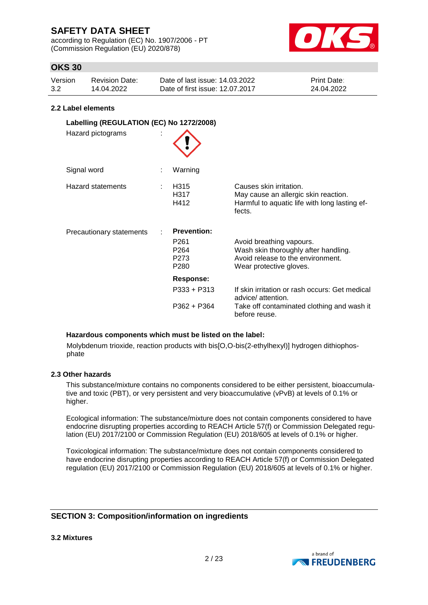according to Regulation (EC) No. 1907/2006 - PT (Commission Regulation (EU) 2020/878)



## **OKS 30**

| Version | Revision Date: | Date of last issue: 14.03.2022  | <b>Print Date:</b> |
|---------|----------------|---------------------------------|--------------------|
| 3.2     | 14.04.2022     | Date of first issue: 12.07.2017 | 24.04.2022         |

#### **2.2 Label elements**

| Labelling (REGULATION (EC) No 1272/2008)<br>Hazard pictograms |                                                                                                    |                                                                                                                                  |
|---------------------------------------------------------------|----------------------------------------------------------------------------------------------------|----------------------------------------------------------------------------------------------------------------------------------|
| Signal word                                                   | Warning                                                                                            |                                                                                                                                  |
| Hazard statements                                             | H <sub>315</sub><br>H317<br>H412                                                                   | Causes skin irritation.<br>May cause an allergic skin reaction.<br>Harmful to aquatic life with long lasting ef-<br>fects.       |
| Precautionary statements                                      | <b>Prevention:</b><br>P <sub>261</sub><br>P <sub>264</sub><br>P <sub>273</sub><br>P <sub>280</sub> | Avoid breathing vapours.<br>Wash skin thoroughly after handling.<br>Avoid release to the environment.<br>Wear protective gloves. |
|                                                               | <b>Response:</b>                                                                                   |                                                                                                                                  |
|                                                               | $P333 + P313$                                                                                      | If skin irritation or rash occurs: Get medical<br>advice/ attention.                                                             |
|                                                               | P362 + P364                                                                                        | Take off contaminated clothing and wash it<br>before reuse.                                                                      |

#### **Hazardous components which must be listed on the label:**

Molybdenum trioxide, reaction products with bis[O,O-bis(2-ethylhexyl)] hydrogen dithiophosphate

#### **2.3 Other hazards**

This substance/mixture contains no components considered to be either persistent, bioaccumulative and toxic (PBT), or very persistent and very bioaccumulative (vPvB) at levels of 0.1% or higher.

Ecological information: The substance/mixture does not contain components considered to have endocrine disrupting properties according to REACH Article 57(f) or Commission Delegated regulation (EU) 2017/2100 or Commission Regulation (EU) 2018/605 at levels of 0.1% or higher.

Toxicological information: The substance/mixture does not contain components considered to have endocrine disrupting properties according to REACH Article 57(f) or Commission Delegated regulation (EU) 2017/2100 or Commission Regulation (EU) 2018/605 at levels of 0.1% or higher.

## **SECTION 3: Composition/information on ingredients**

**3.2 Mixtures**

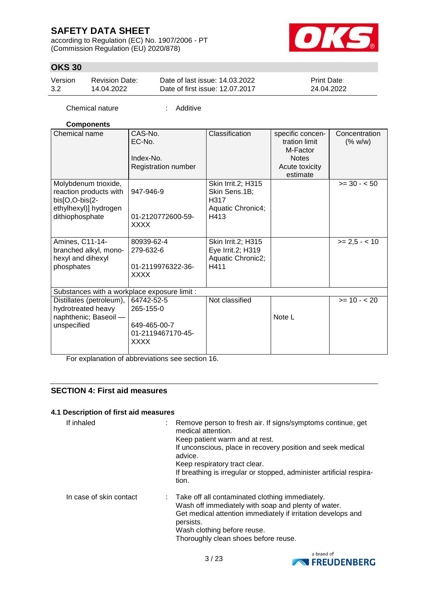according to Regulation (EC) No. 1907/2006 - PT (Commission Regulation (EU) 2020/878)



# **OKS 30**

| Version | Revision Date: | Date of last issue: 14.03.2022  | <b>Print Date:</b> |
|---------|----------------|---------------------------------|--------------------|
| 3.2     | 14.04.2022     | Date of first issue: 12.07.2017 | 24.04.2022         |

Chemical nature : Additive

### **Components**

| Chemical name                                                                                                | CAS-No.<br>EC-No.<br>Index-No.<br>Registration number                       | Classification                                                           | specific concen-<br>tration limit<br>M-Factor<br><b>Notes</b><br>Acute toxicity<br>estimate | Concentration<br>(% w/w) |
|--------------------------------------------------------------------------------------------------------------|-----------------------------------------------------------------------------|--------------------------------------------------------------------------|---------------------------------------------------------------------------------------------|--------------------------|
| Molybdenum trioxide,<br>reaction products with<br>bis[O,O-bis(2-<br>ethylhexyl)] hydrogen<br>dithiophosphate | 947-946-9<br>01-2120772600-59-<br><b>XXXX</b>                               | Skin Irrit.2; H315<br>Skin Sens.1B;<br>H317<br>Aquatic Chronic4;<br>H413 |                                                                                             | $>= 30 - 50$             |
| Amines, C11-14-<br>branched alkyl, mono-<br>hexyl and dihexyl<br>phosphates                                  | 80939-62-4<br>279-632-6<br>01-2119976322-36-<br><b>XXXX</b>                 | Skin Irrit.2; H315<br>Eye Irrit.2; H319<br>Aquatic Chronic2;<br>H411     |                                                                                             | $>= 2.5 - < 10$          |
| Substances with a workplace exposure limit :                                                                 |                                                                             |                                                                          |                                                                                             |                          |
| Distillates (petroleum),<br>hydrotreated heavy<br>naphthenic; Baseoil -<br>unspecified                       | 64742-52-5<br>265-155-0<br>649-465-00-7<br>01-2119467170-45-<br><b>XXXX</b> | Not classified                                                           | Note L                                                                                      | $>= 10 - 20$             |

For explanation of abbreviations see section 16.

## **SECTION 4: First aid measures**

#### **4.1 Description of first aid measures**

| If inhaled              | Remove person to fresh air. If signs/symptoms continue, get<br>medical attention.<br>Keep patient warm and at rest.<br>If unconscious, place in recovery position and seek medical<br>advice.<br>Keep respiratory tract clear.<br>If breathing is irregular or stopped, administer artificial respira-<br>tion. |
|-------------------------|-----------------------------------------------------------------------------------------------------------------------------------------------------------------------------------------------------------------------------------------------------------------------------------------------------------------|
| In case of skin contact | : Take off all contaminated clothing immediately.<br>Wash off immediately with soap and plenty of water.<br>Get medical attention immediately if irritation develops and<br>persists.<br>Wash clothing before reuse.<br>Thoroughly clean shoes before reuse.                                                    |

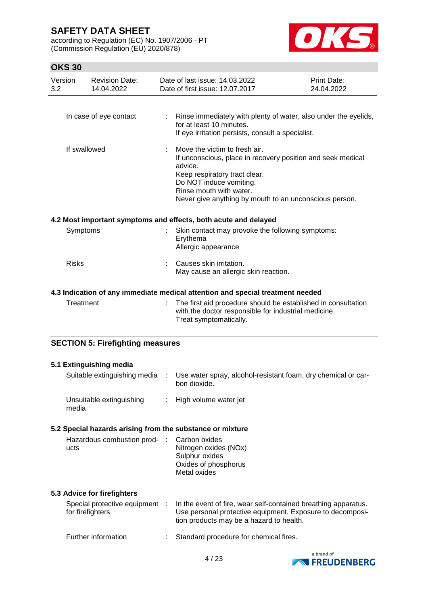according to Regulation (EC) No. 1907/2006 - PT (Commission Regulation (EU) 2020/878)



| Version<br>3.2 | <b>Revision Date:</b><br>14.04.2022     | Date of last issue: 14.03.2022<br>Date of first issue: 12.07.2017                                                                                                                                                                                        | Print Date:<br>24.04.2022 |
|----------------|-----------------------------------------|----------------------------------------------------------------------------------------------------------------------------------------------------------------------------------------------------------------------------------------------------------|---------------------------|
|                | In case of eye contact                  | : Rinse immediately with plenty of water, also under the eyelids,                                                                                                                                                                                        |                           |
|                |                                         | for at least 10 minutes.<br>If eye irritation persists, consult a specialist.                                                                                                                                                                            |                           |
|                | If swallowed                            | Move the victim to fresh air.<br>If unconscious, place in recovery position and seek medical<br>advice.<br>Keep respiratory tract clear.<br>Do NOT induce vomiting.<br>Rinse mouth with water.<br>Never give anything by mouth to an unconscious person. |                           |
|                |                                         | 4.2 Most important symptoms and effects, both acute and delayed                                                                                                                                                                                          |                           |
|                | Symptoms                                | Skin contact may provoke the following symptoms:<br>Erythema<br>Allergic appearance                                                                                                                                                                      |                           |
| <b>Risks</b>   |                                         | Causes skin irritation.<br>May cause an allergic skin reaction.                                                                                                                                                                                          |                           |
|                |                                         | 4.3 Indication of any immediate medical attention and special treatment needed                                                                                                                                                                           |                           |
|                | Treatment                               | The first aid procedure should be established in consultation<br>with the doctor responsible for industrial medicine.<br>Treat symptomatically.                                                                                                          |                           |
|                | <b>SECTION 5: Firefighting measures</b> |                                                                                                                                                                                                                                                          |                           |

| 5.1 Extinguishing media                                   |                                                                                                                                                                         |
|-----------------------------------------------------------|-------------------------------------------------------------------------------------------------------------------------------------------------------------------------|
| Suitable extinguishing media :                            | Use water spray, alcohol-resistant foam, dry chemical or car-<br>bon dioxide.                                                                                           |
| Unsuitable extinguishing<br>media                         | : High volume water jet                                                                                                                                                 |
| 5.2 Special hazards arising from the substance or mixture |                                                                                                                                                                         |
| Hazardous combustion prod- : Carbon oxides<br>ucts        | Nitrogen oxides (NOx)<br>Sulphur oxides<br>Oxides of phosphorus<br>Metal oxides                                                                                         |
| 5.3 Advice for firefighters                               |                                                                                                                                                                         |
| Special protective equipment :<br>for firefighters        | In the event of fire, wear self-contained breathing apparatus.<br>Use personal protective equipment. Exposure to decomposi-<br>tion products may be a hazard to health. |
| Further information                                       | Standard procedure for chemical fires.                                                                                                                                  |

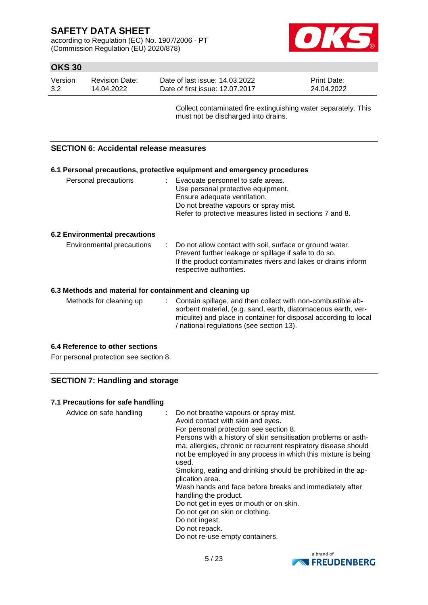according to Regulation (EC) No. 1907/2006 - PT (Commission Regulation (EU) 2020/878)



## **OKS 30**

| Version | Revision Date: | Date of last issue: 14.03.2022  | <b>Print Date:</b> |
|---------|----------------|---------------------------------|--------------------|
| 3.2     | 14.04.2022     | Date of first issue: 12.07.2017 | 24.04.2022         |

Collect contaminated fire extinguishing water separately. This must not be discharged into drains.

### **SECTION 6: Accidental release measures**

|                                                          |  | 6.1 Personal precautions, protective equipment and emergency procedures                                                                                                                                         |  |
|----------------------------------------------------------|--|-----------------------------------------------------------------------------------------------------------------------------------------------------------------------------------------------------------------|--|
| Personal precautions                                     |  | : Evacuate personnel to safe areas.<br>Use personal protective equipment.<br>Ensure adequate ventilation.<br>Do not breathe vapours or spray mist.<br>Refer to protective measures listed in sections 7 and 8.  |  |
| <b>6.2 Environmental precautions</b>                     |  |                                                                                                                                                                                                                 |  |
| Environmental precautions                                |  | : Do not allow contact with soil, surface or ground water.<br>Prevent further leakage or spillage if safe to do so.<br>If the product contaminates rivers and lakes or drains inform<br>respective authorities. |  |
| 6.3 Methods and material for containment and cleaning up |  |                                                                                                                                                                                                                 |  |

Methods for cleaning up : Contain spillage, and then collect with non-combustible absorbent material, (e.g. sand, earth, diatomaceous earth, vermiculite) and place in container for disposal according to local / national regulations (see section 13).

### **6.4 Reference to other sections**

For personal protection see section 8.

## **SECTION 7: Handling and storage**

### **7.1 Precautions for safe handling**

Advice on safe handling : Do not breathe vapours or spray mist. Avoid contact with skin and eyes. For personal protection see section 8. Persons with a history of skin sensitisation problems or asthma, allergies, chronic or recurrent respiratory disease should not be employed in any process in which this mixture is being used. Smoking, eating and drinking should be prohibited in the application area. Wash hands and face before breaks and immediately after handling the product. Do not get in eyes or mouth or on skin. Do not get on skin or clothing. Do not ingest. Do not repack. Do not re-use empty containers.

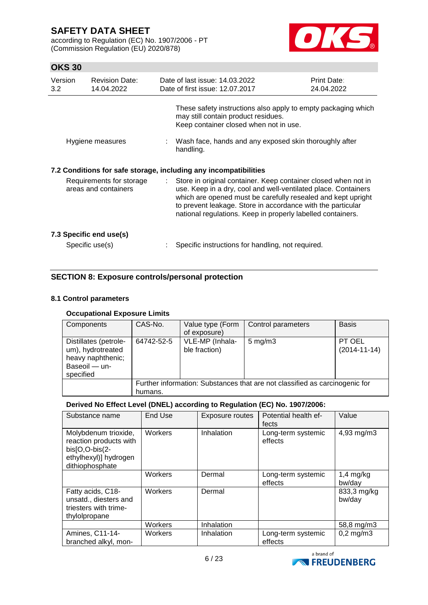according to Regulation (EC) No. 1907/2006 - PT (Commission Regulation (EU) 2020/878)



# **OKS 30**

| Version<br>3.2 | <b>Revision Date:</b><br>14.04.2022              |    | Date of last issue: 14.03.2022<br>Date of first issue: 12.07.2017                                                                                                                                                                                                                                                              | Print Date:<br>24.04.2022 |
|----------------|--------------------------------------------------|----|--------------------------------------------------------------------------------------------------------------------------------------------------------------------------------------------------------------------------------------------------------------------------------------------------------------------------------|---------------------------|
|                |                                                  |    | These safety instructions also apply to empty packaging which<br>may still contain product residues.<br>Keep container closed when not in use.                                                                                                                                                                                 |                           |
|                | Hygiene measures                                 |    | Wash face, hands and any exposed skin thoroughly after<br>handling.                                                                                                                                                                                                                                                            |                           |
|                |                                                  |    | 7.2 Conditions for safe storage, including any incompatibilities                                                                                                                                                                                                                                                               |                           |
|                | Requirements for storage<br>areas and containers | ÷. | Store in original container. Keep container closed when not in<br>use. Keep in a dry, cool and well-ventilated place. Containers<br>which are opened must be carefully resealed and kept upright<br>to prevent leakage. Store in accordance with the particular<br>national regulations. Keep in properly labelled containers. |                           |
|                | 7.3 Specific end use(s)<br>Specific use(s)       |    | Specific instructions for handling, not required.                                                                                                                                                                                                                                                                              |                           |
|                |                                                  |    |                                                                                                                                                                                                                                                                                                                                |                           |

## **SECTION 8: Exposure controls/personal protection**

### **8.1 Control parameters**

## **Occupational Exposure Limits**

| Components                                                                                    | CAS-No.                                                                     | Value type (Form<br>of exposure) | Control parameters | <b>Basis</b>                 |  |  |
|-----------------------------------------------------------------------------------------------|-----------------------------------------------------------------------------|----------------------------------|--------------------|------------------------------|--|--|
| Distillates (petrole-<br>um), hydrotreated<br>heavy naphthenic;<br>Baseoil - un-<br>specified | 64742-52-5                                                                  | VLE-MP (Inhala-<br>ble fraction) | $5 \text{ mg/m}$ 3 | PT OEL<br>$(2014 - 11 - 14)$ |  |  |
|                                                                                               | Further information: Substances that are not classified as carcinogenic for |                                  |                    |                              |  |  |
|                                                                                               | humans.                                                                     |                                  |                    |                              |  |  |

## **Derived No Effect Level (DNEL) according to Regulation (EC) No. 1907/2006:**

| Substance name                                                                                               | End Use        | Exposure routes | Potential health ef-<br>fects | Value                 |
|--------------------------------------------------------------------------------------------------------------|----------------|-----------------|-------------------------------|-----------------------|
| Molybdenum trioxide,<br>reaction products with<br>bis[O,O-bis(2-<br>ethylhexyl)] hydrogen<br>dithiophosphate | Workers        | Inhalation      | Long-term systemic<br>effects | 4,93 mg/m3            |
|                                                                                                              | <b>Workers</b> | Dermal          | Long-term systemic<br>effects | $1,4$ mg/kg<br>bw/day |
| Fatty acids, C18-<br>unsatd., diesters and<br>triesters with trime-<br>thylolpropane                         | <b>Workers</b> | Dermal          |                               | 833,3 mg/kg<br>bw/day |
|                                                                                                              | Workers        | Inhalation      |                               | 58,8 mg/m3            |
| Amines, C11-14-<br>branched alkyl, mon-                                                                      | Workers        | Inhalation      | Long-term systemic<br>effects | $0,2$ mg/m $3$        |

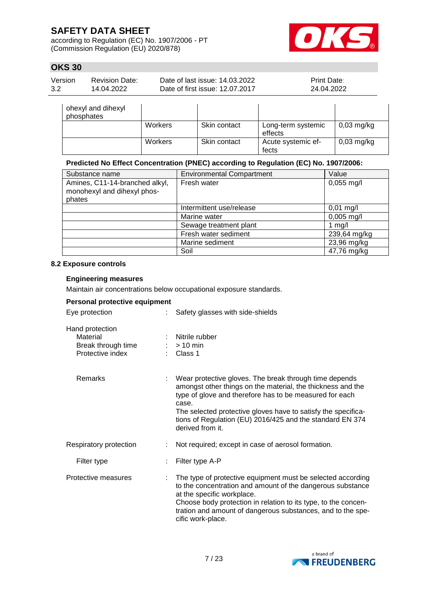according to Regulation (EC) No. 1907/2006 - PT (Commission Regulation (EU) 2020/878)



## **OKS 30**

| Version | Revision Date: | Date of last issue: 14.03.2022  | <b>Print Date:</b> |
|---------|----------------|---------------------------------|--------------------|
| 3.2     | 14.04.2022     | Date of first issue: 12.07.2017 | 24.04.2022         |

| ohexyl and dihexyl<br>phosphates |         |              |                               |              |
|----------------------------------|---------|--------------|-------------------------------|--------------|
|                                  | Workers | Skin contact | Long-term systemic<br>effects | $0,03$ mg/kg |
|                                  | Workers | Skin contact | Acute systemic ef-<br>fects   | $0,03$ mg/kg |

### **Predicted No Effect Concentration (PNEC) according to Regulation (EC) No. 1907/2006:**

| Substance name                                                          | <b>Environmental Compartment</b> | Value                |
|-------------------------------------------------------------------------|----------------------------------|----------------------|
| Amines, C11-14-branched alkyl,<br>monohexyl and dihexyl phos-<br>phates | Fresh water                      | $0,055 \text{ mg/l}$ |
|                                                                         | Intermittent use/release         | $0,01$ mg/l          |
|                                                                         | Marine water                     | $0,005$ mg/l         |
|                                                                         | Sewage treatment plant           | 1 $mg/l$             |
|                                                                         | Fresh water sediment             | 239,64 mg/kg         |
|                                                                         | Marine sediment                  | 23,96 mg/kg          |
|                                                                         | Soil                             | 47,76 mg/kg          |

### **8.2 Exposure controls**

### **Engineering measures**

Maintain air concentrations below occupational exposure standards.

## **Personal protective equipment**

| Eye protection                                                        |  | Safety glasses with side-shields                                                                                                                                                                                                                                                                                                            |  |  |
|-----------------------------------------------------------------------|--|---------------------------------------------------------------------------------------------------------------------------------------------------------------------------------------------------------------------------------------------------------------------------------------------------------------------------------------------|--|--|
| Hand protection<br>Material<br>Break through time<br>Protective index |  | Nitrile rubber<br>$:$ > 10 min<br>$\therefore$ Class 1                                                                                                                                                                                                                                                                                      |  |  |
| Remarks                                                               |  | Wear protective gloves. The break through time depends<br>amongst other things on the material, the thickness and the<br>type of glove and therefore has to be measured for each<br>case.<br>The selected protective gloves have to satisfy the specifica-<br>tions of Regulation (EU) 2016/425 and the standard EN 374<br>derived from it. |  |  |
| Respiratory protection                                                |  | Not required; except in case of aerosol formation.                                                                                                                                                                                                                                                                                          |  |  |
| Filter type                                                           |  | Filter type A-P                                                                                                                                                                                                                                                                                                                             |  |  |
| Protective measures                                                   |  | The type of protective equipment must be selected according<br>to the concentration and amount of the dangerous substance<br>at the specific workplace.<br>Choose body protection in relation to its type, to the concen-<br>tration and amount of dangerous substances, and to the spe-<br>cific work-place.                               |  |  |

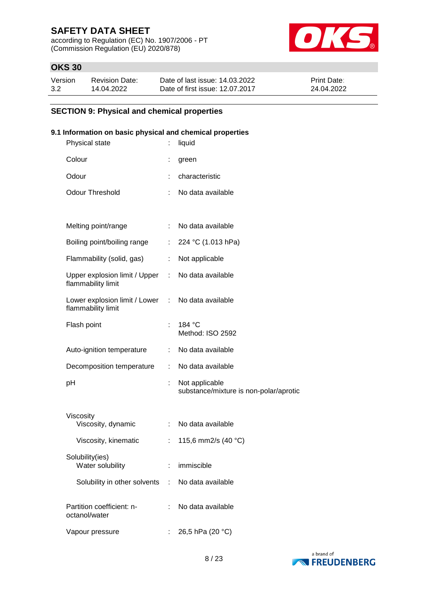according to Regulation (EC) No. 1907/2006 - PT (Commission Regulation (EU) 2020/878)



## **OKS 30**

| Version | <b>Revision Date:</b> | Date of last issue: 14.03.2022  | <b>Print Date:</b> |
|---------|-----------------------|---------------------------------|--------------------|
| 3.2     | 14.04.2022            | Date of first issue: 12.07.2017 | 24.04.2022         |

### **SECTION 9: Physical and chemical properties**

### **9.1 Information on basic physical and chemical properties**

| Physical state                                        |    | liquid                                                   |
|-------------------------------------------------------|----|----------------------------------------------------------|
| Colour                                                | t  | green                                                    |
| Odour                                                 | ÷  | characteristic                                           |
| <b>Odour Threshold</b>                                |    | No data available                                        |
|                                                       |    |                                                          |
| Melting point/range                                   | ÷  | No data available                                        |
| Boiling point/boiling range                           | ÷  | 224 °C (1.013 hPa)                                       |
| Flammability (solid, gas)                             | ÷  | Not applicable                                           |
| Upper explosion limit / Upper :<br>flammability limit |    | No data available                                        |
| Lower explosion limit / Lower<br>flammability limit   | ÷  | No data available                                        |
| Flash point                                           | t. | 184 °C<br>Method: ISO 2592                               |
| Auto-ignition temperature                             | ÷  | No data available                                        |
| Decomposition temperature                             | ÷  | No data available                                        |
| pH                                                    | ÷, | Not applicable<br>substance/mixture is non-polar/aprotic |
| Viscosity                                             |    |                                                          |
| Viscosity, dynamic                                    | ÷. | No data available                                        |
| Viscosity, kinematic                                  | ÷  | 115,6 mm2/s (40 °C)                                      |
| Solubility(ies)<br>Water solubility                   |    | immiscible                                               |
| Solubility in other solvents :                        |    | No data available                                        |
| Partition coefficient: n-<br>octanol/water            |    | No data available                                        |
| Vapour pressure                                       |    | 26,5 hPa (20 °C)                                         |

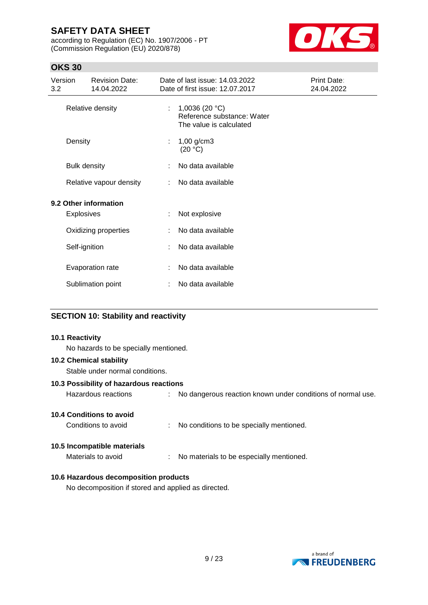according to Regulation (EC) No. 1907/2006 - PT (Commission Regulation (EU) 2020/878)



# **OKS 30**

| Version<br>3.2        | <b>Revision Date:</b><br>14.04.2022 |   | Date of last issue: 14.03.2022<br>Date of first issue: 12.07.2017          | Print Date:<br>24.04.2022 |
|-----------------------|-------------------------------------|---|----------------------------------------------------------------------------|---------------------------|
| Relative density      |                                     | ÷ | 1,0036 (20 $°C$ )<br>Reference substance: Water<br>The value is calculated |                           |
|                       | Density                             |   | $1,00$ g/cm3<br>(20 °C)                                                    |                           |
| <b>Bulk density</b>   |                                     | ÷ | No data available                                                          |                           |
|                       | Relative vapour density             |   | No data available                                                          |                           |
| 9.2 Other information |                                     |   |                                                                            |                           |
|                       | <b>Explosives</b>                   |   | Not explosive                                                              |                           |
|                       | Oxidizing properties                |   | No data available                                                          |                           |
| Self-ignition         |                                     |   | No data available                                                          |                           |
| Evaporation rate      |                                     | ÷ | No data available                                                          |                           |
| Sublimation point     |                                     |   | No data available                                                          |                           |
|                       |                                     |   |                                                                            |                           |

## **SECTION 10: Stability and reactivity**

#### **10.1 Reactivity**

No hazards to be specially mentioned.

#### **10.2 Chemical stability**

Stable under normal conditions.

### **10.3 Possibility of hazardous reactions**

Hazardous reactions : No dangerous reaction known under conditions of normal use.

## **10.4 Conditions to avoid**

Conditions to avoid : No conditions to be specially mentioned.

### **10.5 Incompatible materials**

Materials to avoid : No materials to be especially mentioned.

# **10.6 Hazardous decomposition products**

No decomposition if stored and applied as directed.

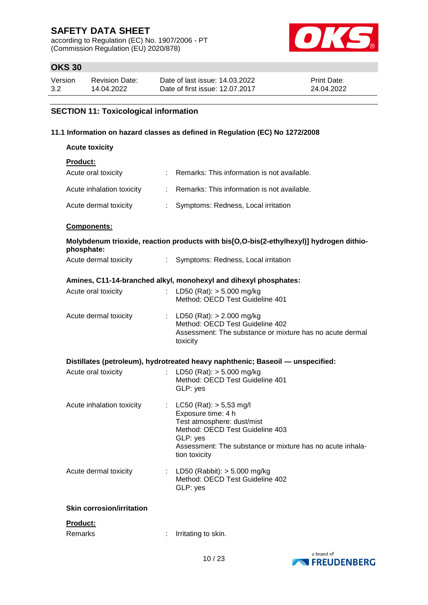according to Regulation (EC) No. 1907/2006 - PT (Commission Regulation (EU) 2020/878)



## **OKS 30**

| Version | Revision Date: | Date of last issue: 14.03.2022  | <b>Print Date:</b> |
|---------|----------------|---------------------------------|--------------------|
| 3.2     | 14.04.2022     | Date of first issue: 12.07.2017 | 24.04.2022         |

# **SECTION 11: Toxicological information**

### **11.1 Information on hazard classes as defined in Regulation (EC) No 1272/2008**

| <b>Acute toxicity</b>                               |                                                                                                                                                                                                               |
|-----------------------------------------------------|---------------------------------------------------------------------------------------------------------------------------------------------------------------------------------------------------------------|
| <b>Product:</b>                                     |                                                                                                                                                                                                               |
| Acute oral toxicity                                 | : Remarks: This information is not available.                                                                                                                                                                 |
| Acute inhalation toxicity                           | : Remarks: This information is not available.                                                                                                                                                                 |
| Acute dermal toxicity<br>$\mathcal{L}^{\text{max}}$ | Symptoms: Redness, Local irritation                                                                                                                                                                           |
| Components:                                         |                                                                                                                                                                                                               |
| phosphate:                                          | Molybdenum trioxide, reaction products with bis[O,O-bis(2-ethylhexyl)] hydrogen dithio-                                                                                                                       |
| Acute dermal toxicity                               | : Symptoms: Redness, Local irritation                                                                                                                                                                         |
|                                                     | Amines, C11-14-branched alkyl, monohexyl and dihexyl phosphates:                                                                                                                                              |
| Acute oral toxicity                                 | LD50 (Rat): $> 5.000$ mg/kg                                                                                                                                                                                   |
|                                                     | Method: OECD Test Guideline 401                                                                                                                                                                               |
| Acute dermal toxicity                               | : LD50 (Rat): $> 2.000$ mg/kg<br>Method: OECD Test Guideline 402<br>Assessment: The substance or mixture has no acute dermal<br>toxicity                                                                      |
|                                                     | Distillates (petroleum), hydrotreated heavy naphthenic; Baseoil — unspecified:                                                                                                                                |
| Acute oral toxicity                                 | LD50 (Rat): $> 5.000$ mg/kg<br>Method: OECD Test Guideline 401<br>GLP: yes                                                                                                                                    |
| Acute inhalation toxicity                           | : $LC50 (Rat) : > 5,53 mg/l$<br>Exposure time: 4 h<br>Test atmosphere: dust/mist<br>Method: OECD Test Guideline 403<br>GLP: yes<br>Assessment: The substance or mixture has no acute inhala-<br>tion toxicity |
| Acute dermal toxicity                               | LD50 (Rabbit): $> 5.000$ mg/kg<br>Method: OECD Test Guideline 402<br>GLP: yes                                                                                                                                 |
| <b>Skin corrosion/irritation</b>                    |                                                                                                                                                                                                               |
| Product:                                            |                                                                                                                                                                                                               |
| Remarks                                             | Irritating to skin.                                                                                                                                                                                           |

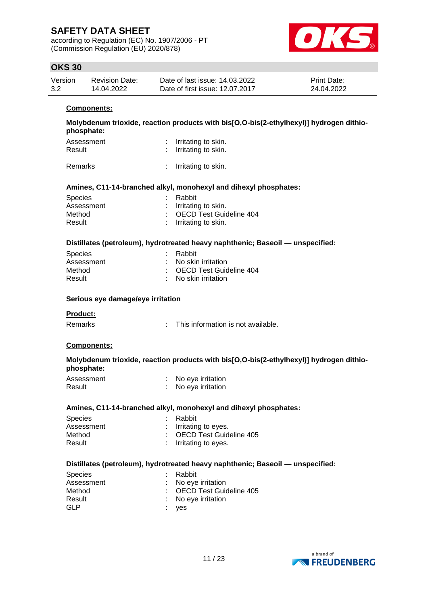according to Regulation (EC) No. 1907/2006 - PT (Commission Regulation (EU) 2020/878)



## **OKS 30**

| Version | Revision Date: | Date of last issue: 14.03.2022  | <b>Print Date:</b> |
|---------|----------------|---------------------------------|--------------------|
| 3.2     | 14.04.2022     | Date of first issue: 12.07.2017 | 24.04.2022         |

#### **Components:**

**Molybdenum trioxide, reaction products with bis[O,O-bis(2-ethylhexyl)] hydrogen dithiophosphate:**

| Assessment | : Irritating to skin. |
|------------|-----------------------|
| Result     | : Irritating to skin. |
|            |                       |

Remarks : Irritating to skin.

#### **Amines, C11-14-branched alkyl, monohexyl and dihexyl phosphates:**

| : Rabbit                  |
|---------------------------|
| $:$ Irritating to skin.   |
| : OECD Test Guideline 404 |
| $:$ Irritating to skin.   |
|                           |

#### **Distillates (petroleum), hydrotreated heavy naphthenic; Baseoil — unspecified:**

| <b>Species</b> | : Rabbit                         |  |
|----------------|----------------------------------|--|
| Assessment     | : No skin irritation             |  |
| Method         | : OECD Test Guideline 404        |  |
| Result         | $\therefore$ No skin irritation. |  |
|                |                                  |  |

#### **Serious eye damage/eye irritation**

#### **Product:**

| This information is not available.<br>Remarks |
|-----------------------------------------------|
|-----------------------------------------------|

#### **Components:**

#### **Molybdenum trioxide, reaction products with bis[O,O-bis(2-ethylhexyl)] hydrogen dithiophosphate:**

| Assessment | No eye irritation |
|------------|-------------------|
| Result     | No eye irritation |

#### **Amines, C11-14-branched alkyl, monohexyl and dihexyl phosphates:**

| <b>Species</b> | : Rabbit                  |
|----------------|---------------------------|
| Assessment     | $:$ Irritating to eyes.   |
| Method         | : OECD Test Guideline 405 |
| Result         | : Irritating to eyes.     |
|                |                           |

#### **Distillates (petroleum), hydrotreated heavy naphthenic; Baseoil — unspecified:**

| <b>Species</b> | : Rabbit                  |
|----------------|---------------------------|
| Assessment     | : No eye irritation       |
| Method         | : OECD Test Guideline 405 |
| Result         | : No eye irritation       |
| GLP            | : yes                     |

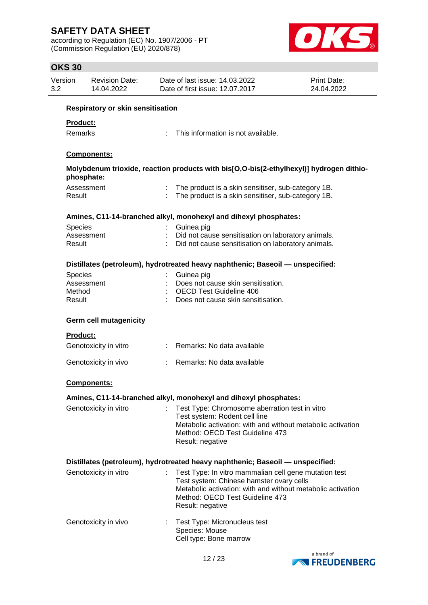according to Regulation (EC) No. 1907/2006 - PT (Commission Regulation (EU) 2020/878)



| Version<br>3.2 |                                          | <b>Revision Date:</b><br>14.04.2022 |  | Date of last issue: 14.03.2022<br>Date of first issue: 12.07.2017                                                                                                                                                       | Print Date:<br>24.04.2022 |  |
|----------------|------------------------------------------|-------------------------------------|--|-------------------------------------------------------------------------------------------------------------------------------------------------------------------------------------------------------------------------|---------------------------|--|
|                | <b>Respiratory or skin sensitisation</b> |                                     |  |                                                                                                                                                                                                                         |                           |  |
|                | Product:                                 |                                     |  |                                                                                                                                                                                                                         |                           |  |
|                | Remarks                                  |                                     |  | This information is not available.                                                                                                                                                                                      |                           |  |
|                |                                          | Components:                         |  |                                                                                                                                                                                                                         |                           |  |
|                | phosphate:                               |                                     |  | Molybdenum trioxide, reaction products with bis[O,O-bis(2-ethylhexyl)] hydrogen dithio-                                                                                                                                 |                           |  |
|                | Result                                   | Assessment                          |  | The product is a skin sensitiser, sub-category 1B.<br>The product is a skin sensitiser, sub-category 1B.                                                                                                                |                           |  |
|                |                                          |                                     |  | Amines, C11-14-branched alkyl, monohexyl and dihexyl phosphates:                                                                                                                                                        |                           |  |
|                | Species                                  |                                     |  | Guinea pig                                                                                                                                                                                                              |                           |  |
|                | Result                                   | Assessment                          |  | Did not cause sensitisation on laboratory animals.<br>Did not cause sensitisation on laboratory animals.                                                                                                                |                           |  |
|                |                                          |                                     |  | Distillates (petroleum), hydrotreated heavy naphthenic; Baseoil — unspecified:                                                                                                                                          |                           |  |
|                | <b>Species</b>                           |                                     |  | Guinea pig                                                                                                                                                                                                              |                           |  |
|                | Method                                   | Assessment                          |  | Does not cause skin sensitisation.<br><b>OECD Test Guideline 406</b>                                                                                                                                                    |                           |  |
|                | Result                                   |                                     |  | Does not cause skin sensitisation.                                                                                                                                                                                      |                           |  |
|                | <b>Product:</b>                          | <b>Germ cell mutagenicity</b>       |  |                                                                                                                                                                                                                         |                           |  |
|                |                                          | Genotoxicity in vitro               |  | : Remarks: No data available                                                                                                                                                                                            |                           |  |
|                |                                          | Genotoxicity in vivo                |  | Remarks: No data available                                                                                                                                                                                              |                           |  |
|                |                                          | <b>Components:</b>                  |  |                                                                                                                                                                                                                         |                           |  |
|                |                                          |                                     |  | Amines, C11-14-branched alkyl, monohexyl and dihexyl phosphates:                                                                                                                                                        |                           |  |
|                |                                          | Genotoxicity in vitro               |  | Test Type: Chromosome aberration test in vitro<br>Test system: Rodent cell line<br>Metabolic activation: with and without metabolic activation<br>Method: OECD Test Guideline 473<br>Result: negative                   |                           |  |
|                |                                          |                                     |  | Distillates (petroleum), hydrotreated heavy naphthenic; Baseoil — unspecified:                                                                                                                                          |                           |  |
|                |                                          | Genotoxicity in vitro               |  | Test Type: In vitro mammalian cell gene mutation test<br>Test system: Chinese hamster ovary cells<br>Metabolic activation: with and without metabolic activation<br>Method: OECD Test Guideline 473<br>Result: negative |                           |  |
|                |                                          | Genotoxicity in vivo                |  | Test Type: Micronucleus test<br>Species: Mouse<br>Cell type: Bone marrow                                                                                                                                                |                           |  |
|                |                                          |                                     |  |                                                                                                                                                                                                                         | hrand of                  |  |

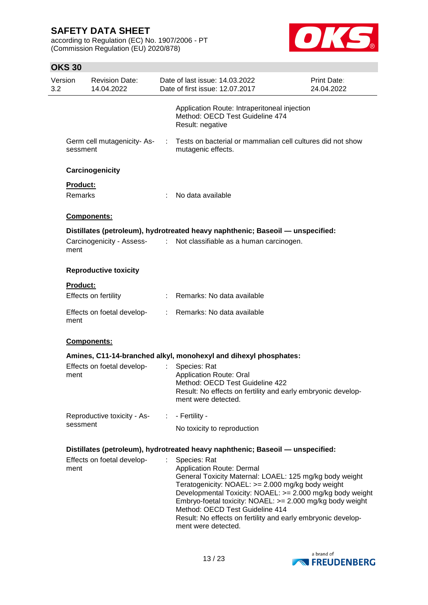according to Regulation (EC) No. 1907/2006 - PT (Commission Regulation (EU) 2020/878)



| Version<br>3.2                                                                 | <b>Revision Date:</b><br>14.04.2022    |    | Date of last issue: 14.03.2022<br>Date of first issue: 12.07.2017                                                                                                                                                                                                              | Print Date:<br>24.04.2022 |
|--------------------------------------------------------------------------------|----------------------------------------|----|--------------------------------------------------------------------------------------------------------------------------------------------------------------------------------------------------------------------------------------------------------------------------------|---------------------------|
|                                                                                |                                        |    | Application Route: Intraperitoneal injection<br>Method: OECD Test Guideline 474<br>Result: negative                                                                                                                                                                            |                           |
|                                                                                | Germ cell mutagenicity-As-<br>sessment | ÷  | Tests on bacterial or mammalian cell cultures did not show<br>mutagenic effects.                                                                                                                                                                                               |                           |
|                                                                                | Carcinogenicity                        |    |                                                                                                                                                                                                                                                                                |                           |
|                                                                                | Product:                               |    |                                                                                                                                                                                                                                                                                |                           |
|                                                                                | Remarks                                |    | No data available                                                                                                                                                                                                                                                              |                           |
|                                                                                | Components:                            |    |                                                                                                                                                                                                                                                                                |                           |
|                                                                                |                                        |    | Distillates (petroleum), hydrotreated heavy naphthenic; Baseoil — unspecified:                                                                                                                                                                                                 |                           |
|                                                                                | Carcinogenicity - Assess-<br>ment      | ÷. | Not classifiable as a human carcinogen.                                                                                                                                                                                                                                        |                           |
|                                                                                | <b>Reproductive toxicity</b>           |    |                                                                                                                                                                                                                                                                                |                           |
|                                                                                | <b>Product:</b>                        |    |                                                                                                                                                                                                                                                                                |                           |
|                                                                                | Effects on fertility                   |    | : Remarks: No data available                                                                                                                                                                                                                                                   |                           |
|                                                                                | Effects on foetal develop-<br>ment     |    | : Remarks: No data available                                                                                                                                                                                                                                                   |                           |
|                                                                                | Components:                            |    |                                                                                                                                                                                                                                                                                |                           |
|                                                                                |                                        |    | Amines, C11-14-branched alkyl, monohexyl and dihexyl phosphates:                                                                                                                                                                                                               |                           |
|                                                                                | Effects on foetal develop-<br>ment     | t. | Species: Rat<br><b>Application Route: Oral</b><br>Method: OECD Test Guideline 422                                                                                                                                                                                              |                           |
|                                                                                |                                        |    | Result: No effects on fertility and early embryonic develop-<br>ment were detected.                                                                                                                                                                                            |                           |
|                                                                                | Reproductive toxicity - As-            | ÷. | - Fertility -                                                                                                                                                                                                                                                                  |                           |
|                                                                                | sessment                               |    | No toxicity to reproduction                                                                                                                                                                                                                                                    |                           |
| Distillates (petroleum), hydrotreated heavy naphthenic; Baseoil - unspecified: |                                        |    |                                                                                                                                                                                                                                                                                |                           |
|                                                                                | Effects on foetal develop-<br>ment     |    | Species: Rat<br>Application Route: Dermal<br>General Toxicity Maternal: LOAEL: 125 mg/kg body weight                                                                                                                                                                           |                           |
|                                                                                |                                        |    | Teratogenicity: NOAEL: >= 2.000 mg/kg body weight<br>Developmental Toxicity: NOAEL: >= 2.000 mg/kg body weight<br>Embryo-foetal toxicity: NOAEL: >= 2.000 mg/kg body weight<br>Method: OECD Test Guideline 414<br>Result: No effects on fertility and early embryonic develop- |                           |
|                                                                                |                                        |    | ment were detected.                                                                                                                                                                                                                                                            |                           |

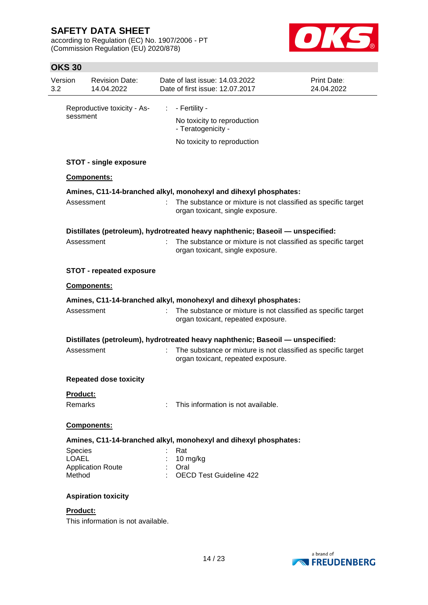according to Regulation (EC) No. 1907/2006 - PT (Commission Regulation (EU) 2020/878)



| Version<br>3.2                                                                 | <b>Revision Date:</b><br>14.04.2022 |    | Date of last issue: 14.03.2022<br>Date of first issue: 12.07.2017                                   | Print Date:<br>24.04.2022 |
|--------------------------------------------------------------------------------|-------------------------------------|----|-----------------------------------------------------------------------------------------------------|---------------------------|
|                                                                                | Reproductive toxicity - As-         | ÷. | - Fertility -                                                                                       |                           |
|                                                                                | sessment                            |    | No toxicity to reproduction<br>- Teratogenicity -                                                   |                           |
|                                                                                |                                     |    | No toxicity to reproduction                                                                         |                           |
|                                                                                | <b>STOT - single exposure</b>       |    |                                                                                                     |                           |
|                                                                                | <b>Components:</b>                  |    |                                                                                                     |                           |
|                                                                                |                                     |    | Amines, C11-14-branched alkyl, monohexyl and dihexyl phosphates:                                    |                           |
|                                                                                | Assessment                          |    | The substance or mixture is not classified as specific target<br>organ toxicant, single exposure.   |                           |
|                                                                                |                                     |    | Distillates (petroleum), hydrotreated heavy naphthenic; Baseoil - unspecified:                      |                           |
|                                                                                | Assessment                          |    | The substance or mixture is not classified as specific target<br>organ toxicant, single exposure.   |                           |
|                                                                                | <b>STOT - repeated exposure</b>     |    |                                                                                                     |                           |
|                                                                                | Components:                         |    |                                                                                                     |                           |
| Amines, C11-14-branched alkyl, monohexyl and dihexyl phosphates:               |                                     |    |                                                                                                     |                           |
|                                                                                | Assessment                          |    | The substance or mixture is not classified as specific target<br>organ toxicant, repeated exposure. |                           |
| Distillates (petroleum), hydrotreated heavy naphthenic; Baseoil - unspecified: |                                     |    |                                                                                                     |                           |
|                                                                                | Assessment                          |    | The substance or mixture is not classified as specific target<br>organ toxicant, repeated exposure. |                           |
|                                                                                | <b>Repeated dose toxicity</b>       |    |                                                                                                     |                           |
| Product:                                                                       |                                     |    |                                                                                                     |                           |
| Remarks                                                                        |                                     |    | This information is not available.                                                                  |                           |
|                                                                                | Components:                         |    |                                                                                                     |                           |
|                                                                                |                                     |    | Amines, C11-14-branched alkyl, monohexyl and dihexyl phosphates:                                    |                           |
| <b>Species</b>                                                                 |                                     |    | Rat                                                                                                 |                           |
| <b>LOAEL</b>                                                                   | <b>Application Route</b>            |    | 10 mg/kg<br>Oral                                                                                    |                           |
| Method                                                                         |                                     |    | <b>OECD Test Guideline 422</b>                                                                      |                           |
|                                                                                | <b>Aspiration toxicity</b>          |    |                                                                                                     |                           |
| <b>Product:</b>                                                                | This information is not available.  |    |                                                                                                     |                           |

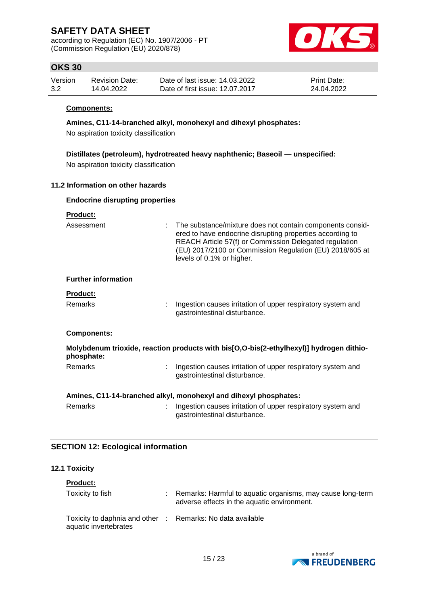according to Regulation (EC) No. 1907/2006 - PT (Commission Regulation (EU) 2020/878)



## **OKS 30**

| Version | <b>Revision Date:</b> | Date of last issue: 14.03.2022  | <b>Print Date:</b> |
|---------|-----------------------|---------------------------------|--------------------|
| 3.2     | 14.04.2022            | Date of first issue: 12.07.2017 | 24.04.2022         |

#### **Components:**

**Amines, C11-14-branched alkyl, monohexyl and dihexyl phosphates:**

No aspiration toxicity classification

**Distillates (petroleum), hydrotreated heavy naphthenic; Baseoil — unspecified:** No aspiration toxicity classification

#### **11.2 Information on other hazards**

### **Endocrine disrupting properties**

| <u>Product:</u>            |                                                                                                                                                                                                                                                                             |
|----------------------------|-----------------------------------------------------------------------------------------------------------------------------------------------------------------------------------------------------------------------------------------------------------------------------|
| Assessment                 | : The substance/mixture does not contain components consid-<br>ered to have endocrine disrupting properties according to<br>REACH Article 57(f) or Commission Delegated regulation<br>(EU) 2017/2100 or Commission Regulation (EU) 2018/605 at<br>levels of 0.1% or higher. |
| <b>Further information</b> |                                                                                                                                                                                                                                                                             |
| <b>Product:</b>            |                                                                                                                                                                                                                                                                             |
| <b>Remarks</b>             | : Ingestion causes irritation of upper respiratory system and<br>gastrointestinal disturbance.                                                                                                                                                                              |
| <b>Components:</b>         |                                                                                                                                                                                                                                                                             |
| phosphate:                 | Molybdenum trioxide, reaction products with bis[O,O-bis(2-ethylhexyl)] hydrogen dithio-                                                                                                                                                                                     |
| <b>Remarks</b>             | Ingestion causes irritation of upper respiratory system and<br>gastrointestinal disturbance.                                                                                                                                                                                |
|                            | Amines, C11-14-branched alkyl, monohexyl and dihexyl phosphates:                                                                                                                                                                                                            |
| Remarks                    | Ingestion causes irritation of upper respiratory system and<br>gastrointestinal disturbance.                                                                                                                                                                                |

### **SECTION 12: Ecological information**

#### **12.1 Toxicity**

| <b>Product:</b>                                                                     |                                                                                                           |
|-------------------------------------------------------------------------------------|-----------------------------------------------------------------------------------------------------------|
| Toxicity to fish                                                                    | Remarks: Harmful to aquatic organisms, may cause long-term<br>adverse effects in the aquatic environment. |
| Toxicity to daphnia and other : Remarks: No data available<br>aquatic invertebrates |                                                                                                           |

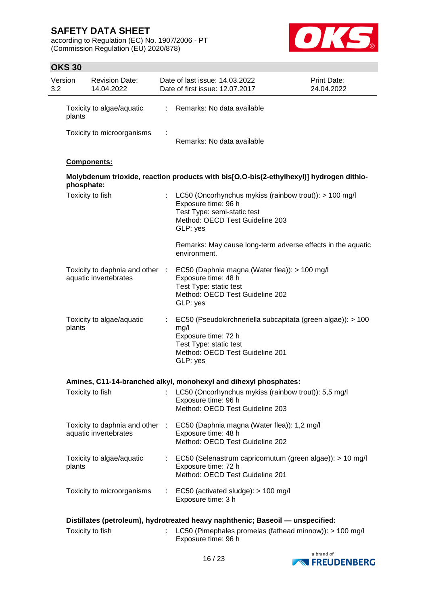according to Regulation (EC) No. 1907/2006 - PT (Commission Regulation (EU) 2020/878)



| Version<br>3.2 | <b>Revision Date:</b><br>14.04.2022                      |                | Date of last issue: 14.03.2022<br>Date of first issue: 12.07.2017                                                                                                   | Print Date:<br>24.04.2022 |
|----------------|----------------------------------------------------------|----------------|---------------------------------------------------------------------------------------------------------------------------------------------------------------------|---------------------------|
| plants         | Toxicity to algae/aquatic                                | $\mathbb{R}^n$ | Remarks: No data available                                                                                                                                          |                           |
|                | Toxicity to microorganisms                               |                | Remarks: No data available                                                                                                                                          |                           |
|                | <b>Components:</b>                                       |                |                                                                                                                                                                     |                           |
|                | phosphate:                                               |                | Molybdenum trioxide, reaction products with bis[O,O-bis(2-ethylhexyl)] hydrogen dithio-                                                                             |                           |
|                | Toxicity to fish                                         | ÷              | LC50 (Oncorhynchus mykiss (rainbow trout)): > 100 mg/l<br>Exposure time: 96 h<br>Test Type: semi-static test<br>Method: OECD Test Guideline 203<br>GLP: yes         |                           |
|                |                                                          |                | Remarks: May cause long-term adverse effects in the aquatic<br>environment.                                                                                         |                           |
|                | Toxicity to daphnia and other :<br>aquatic invertebrates |                | EC50 (Daphnia magna (Water flea)): > 100 mg/l<br>Exposure time: 48 h<br>Test Type: static test<br>Method: OECD Test Guideline 202<br>GLP: yes                       |                           |
| plants         | Toxicity to algae/aquatic                                | t.             | EC50 (Pseudokirchneriella subcapitata (green algae)): > 100<br>mg/l<br>Exposure time: 72 h<br>Test Type: static test<br>Method: OECD Test Guideline 201<br>GLP: yes |                           |
|                |                                                          |                | Amines, C11-14-branched alkyl, monohexyl and dihexyl phosphates:                                                                                                    |                           |
|                | Toxicity to fish                                         |                | LC50 (Oncorhynchus mykiss (rainbow trout)): 5,5 mg/l<br>Exposure time: 96 h<br>Method: OECD Test Guideline 203                                                      |                           |
|                | Toxicity to daphnia and other :<br>aquatic invertebrates |                | EC50 (Daphnia magna (Water flea)): 1,2 mg/l<br>Exposure time: 48 h<br>Method: OECD Test Guideline 202                                                               |                           |
| plants         | Toxicity to algae/aquatic                                |                | EC50 (Selenastrum capricornutum (green algae)): > 10 mg/l<br>Exposure time: 72 h<br>Method: OECD Test Guideline 201                                                 |                           |
|                | Toxicity to microorganisms                               |                | EC50 (activated sludge): > 100 mg/l<br>Exposure time: 3 h                                                                                                           |                           |
|                |                                                          |                | Distillates (petroleum), hydrotreated heavy naphthenic; Baseoil — unspecified:                                                                                      |                           |
|                | Toxicity to fish                                         |                | LC50 (Pimephales promelas (fathead minnow)): > 100 mg/l<br>Exposure time: 96 h                                                                                      |                           |

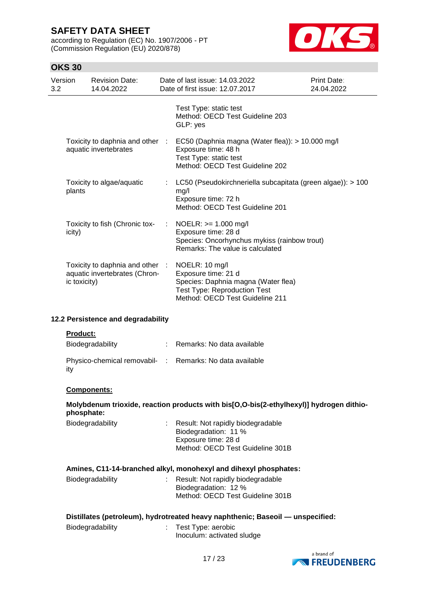according to Regulation (EC) No. 1907/2006 - PT (Commission Regulation (EU) 2020/878)



| Version<br>3.2 |                    | <b>Revision Date:</b><br>14.04.2022                              | Date of last issue: 14.03.2022<br>Date of first issue: 12.07.2017                                                                                      | Print Date:<br>24.04.2022 |
|----------------|--------------------|------------------------------------------------------------------|--------------------------------------------------------------------------------------------------------------------------------------------------------|---------------------------|
|                |                    |                                                                  |                                                                                                                                                        |                           |
|                |                    |                                                                  | Test Type: static test<br>Method: OECD Test Guideline 203<br>GLP: yes                                                                                  |                           |
|                |                    | Toxicity to daphnia and other :<br>aquatic invertebrates         | EC50 (Daphnia magna (Water flea)): > 10.000 mg/l<br>Exposure time: 48 h<br>Test Type: static test<br>Method: OECD Test Guideline 202                   |                           |
|                | plants             | Toxicity to algae/aquatic                                        | LC50 (Pseudokirchneriella subcapitata (green algae)): > 100<br>mg/l<br>Exposure time: 72 h<br>Method: OECD Test Guideline 201                          |                           |
|                | icity)             | Toxicity to fish (Chronic tox-                                   | NOELR: >= 1.000 mg/l<br>Exposure time: 28 d<br>Species: Oncorhynchus mykiss (rainbow trout)<br>Remarks: The value is calculated                        |                           |
|                | ic toxicity)       | Toxicity to daphnia and other :<br>aquatic invertebrates (Chron- | NOELR: 10 mg/l<br>Exposure time: 21 d<br>Species: Daphnia magna (Water flea)<br><b>Test Type: Reproduction Test</b><br>Method: OECD Test Guideline 211 |                           |
|                |                    | 12.2 Persistence and degradability                               |                                                                                                                                                        |                           |
|                | <b>Product:</b>    | Biodegradability                                                 | Remarks: No data available                                                                                                                             |                           |
|                | ity                |                                                                  | Physico-chemical removabil- : Remarks: No data available                                                                                               |                           |
|                | <b>Components:</b> |                                                                  |                                                                                                                                                        |                           |
|                | phosphate:         |                                                                  | Molybdenum trioxide, reaction products with bis[O,O-bis(2-ethylhexyl)] hydrogen dithio-                                                                |                           |
|                |                    | Biodegradability                                                 | Result: Not rapidly biodegradable<br>Biodegradation: 11 %<br>Exposure time: 28 d<br>Method: OECD Test Guideline 301B                                   |                           |
|                |                    |                                                                  | Amines, C11-14-branched alkyl, monohexyl and dihexyl phosphates:                                                                                       |                           |

| Biodegradability | : Result: Not rapidly biodegradable |
|------------------|-------------------------------------|
|                  | Biodegradation: 12 %                |
|                  | Method: OECD Test Guideline 301B    |
|                  |                                     |

| Distillates (petroleum), hydrotreated heavy naphthenic; Baseoil — unspecified: |  |  |
|--------------------------------------------------------------------------------|--|--|
|                                                                                |  |  |

| Biodegradability | Test Type: aerobic         |
|------------------|----------------------------|
|                  | Inoculum: activated sludge |

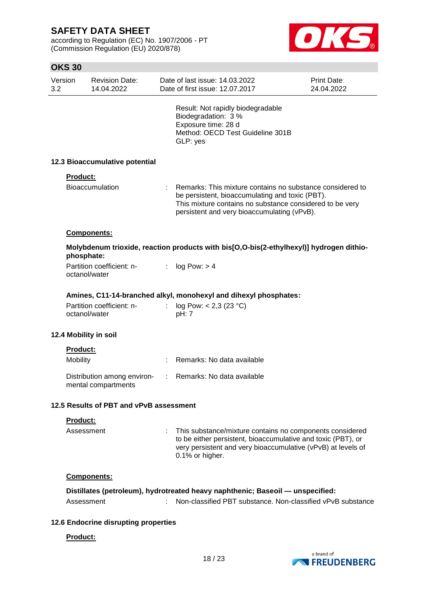according to Regulation (EC) No. 1907/2006 - PT (Commission Regulation (EU) 2020/878)



| Version<br>3.2 | <b>Revision Date:</b><br>14.04.2022                |   | Date of last issue: 14.03.2022<br>Date of first issue: 12.07.2017                                                                                                                                                       | <b>Print Date:</b><br>24.04.2022 |
|----------------|----------------------------------------------------|---|-------------------------------------------------------------------------------------------------------------------------------------------------------------------------------------------------------------------------|----------------------------------|
|                |                                                    |   | Result: Not rapidly biodegradable<br>Biodegradation: 3 %<br>Exposure time: 28 d<br>Method: OECD Test Guideline 301B<br>GLP: yes                                                                                         |                                  |
|                | 12.3 Bioaccumulative potential                     |   |                                                                                                                                                                                                                         |                                  |
|                | Product:                                           |   |                                                                                                                                                                                                                         |                                  |
|                | <b>Bioaccumulation</b>                             |   | Remarks: This mixture contains no substance considered to<br>be persistent, bioaccumulating and toxic (PBT).<br>This mixture contains no substance considered to be very<br>persistent and very bioaccumulating (vPvB). |                                  |
|                | Components:                                        |   |                                                                                                                                                                                                                         |                                  |
|                | phosphate:                                         |   | Molybdenum trioxide, reaction products with bis[O,O-bis(2-ethylhexyl)] hydrogen dithio-                                                                                                                                 |                                  |
|                | Partition coefficient: n-<br>octanol/water         | ÷ | log Pow: > 4                                                                                                                                                                                                            |                                  |
|                |                                                    |   | Amines, C11-14-branched alkyl, monohexyl and dihexyl phosphates:                                                                                                                                                        |                                  |
|                | Partition coefficient: n-<br>octanol/water         |   | log Pow: $< 2,3$ (23 °C)<br>pH: 7                                                                                                                                                                                       |                                  |
|                | 12.4 Mobility in soil                              |   |                                                                                                                                                                                                                         |                                  |
|                | Product:                                           |   |                                                                                                                                                                                                                         |                                  |
|                | Mobility                                           |   | Remarks: No data available                                                                                                                                                                                              |                                  |
|                | Distribution among environ-<br>mental compartments | ÷ | Remarks: No data available                                                                                                                                                                                              |                                  |
|                | 12.5 Results of PBT and vPvB assessment            |   |                                                                                                                                                                                                                         |                                  |
|                | Product:                                           |   |                                                                                                                                                                                                                         |                                  |
|                | Assessment                                         |   | : This substance/mixture contains no components considered<br>to be either persistent, bioaccumulative and toxic (PBT), or<br>very persistent and very bioaccumulative (vPvB) at levels of<br>0.1% or higher.           |                                  |
|                | Components:                                        |   |                                                                                                                                                                                                                         |                                  |
|                |                                                    |   | Distillates (petroleum), hydrotreated heavy naphthenic; Baseoil - unspecified:                                                                                                                                          |                                  |
|                | Assessment                                         |   | Non-classified PBT substance, Non-classified vPvB substance                                                                                                                                                             |                                  |
|                | 12.6 Endocrine disrupting properties               |   |                                                                                                                                                                                                                         |                                  |
|                | Product:                                           |   |                                                                                                                                                                                                                         |                                  |
|                |                                                    |   |                                                                                                                                                                                                                         |                                  |

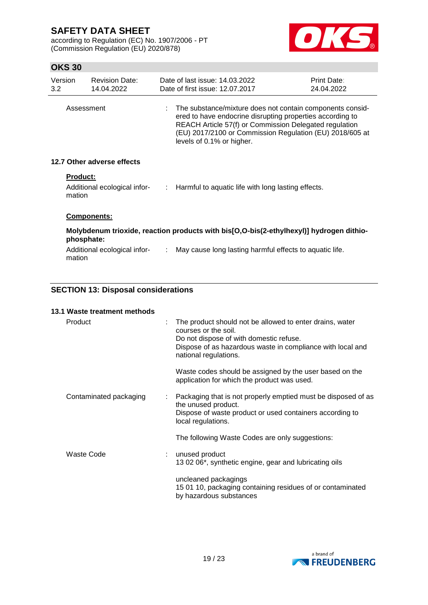according to Regulation (EC) No. 1907/2006 - PT (Commission Regulation (EU) 2020/878)



## **OKS 30**

| Version<br>3.2 <sub>2</sub> | <b>Revision Date:</b><br>14.04.2022                       | Date of last issue: 14,03,2022<br>Date of first issue: 12.07.2017                                                                                                                                                                                                           | Print Date:<br>24.04.2022 |
|-----------------------------|-----------------------------------------------------------|-----------------------------------------------------------------------------------------------------------------------------------------------------------------------------------------------------------------------------------------------------------------------------|---------------------------|
|                             | Assessment                                                | : The substance/mixture does not contain components consid-<br>ered to have endocrine disrupting properties according to<br>REACH Article 57(f) or Commission Delegated regulation<br>(EU) 2017/2100 or Commission Regulation (EU) 2018/605 at<br>levels of 0.1% or higher. |                           |
|                             | 12.7 Other adverse effects                                |                                                                                                                                                                                                                                                                             |                           |
|                             | <b>Product:</b><br>Additional ecological infor-<br>mation | $\therefore$ Harmful to aquatic life with long lasting effects.                                                                                                                                                                                                             |                           |
|                             | <b>Components:</b>                                        |                                                                                                                                                                                                                                                                             |                           |
|                             | phosphate:                                                | Molybdenum trioxide, reaction products with bis[O,O-bis(2-ethylhexyl)] hydrogen dithio-                                                                                                                                                                                     |                           |

Additional ecological infor- : May cause long lasting harmful effects to aquatic life. mation

### **SECTION 13: Disposal considerations**

### **13.1 Waste treatment methods**

| Product                | The product should not be allowed to enter drains, water<br>courses or the soil.<br>Do not dispose of with domestic refuse.<br>Dispose of as hazardous waste in compliance with local and<br>national regulations. |
|------------------------|--------------------------------------------------------------------------------------------------------------------------------------------------------------------------------------------------------------------|
|                        | Waste codes should be assigned by the user based on the<br>application for which the product was used.                                                                                                             |
| Contaminated packaging | Packaging that is not properly emptied must be disposed of as<br>the unused product.<br>Dispose of waste product or used containers according to<br>local regulations.                                             |
|                        | The following Waste Codes are only suggestions:                                                                                                                                                                    |
| Waste Code             | : unused product<br>13 02 06*, synthetic engine, gear and lubricating oils                                                                                                                                         |
|                        | uncleaned packagings<br>15 01 10, packaging containing residues of or contaminated<br>by hazardous substances                                                                                                      |

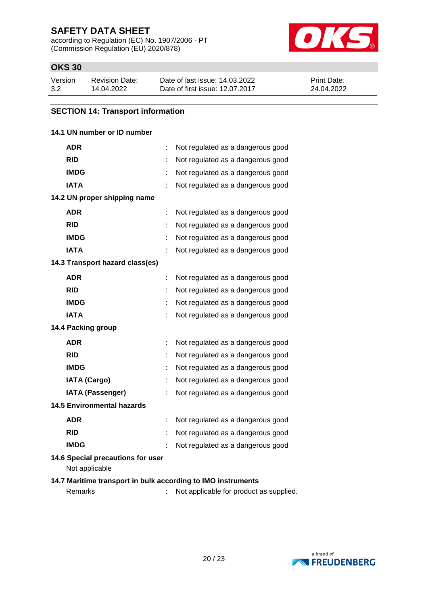according to Regulation (EC) No. 1907/2006 - PT (Commission Regulation (EU) 2020/878)



# **OKS 30**

| Version | Revision Date: | Date of last issue: 14.03.2022  | <b>Print Date:</b> |
|---------|----------------|---------------------------------|--------------------|
| 3.2     | 14.04.2022     | Date of first issue: 12.07.2017 | 24.04.2022         |

# **SECTION 14: Transport information**

### **14.1 UN number or ID number**

| <b>ADR</b>                                                   |    | Not regulated as a dangerous good       |
|--------------------------------------------------------------|----|-----------------------------------------|
| <b>RID</b>                                                   |    | Not regulated as a dangerous good       |
| <b>IMDG</b>                                                  |    | Not regulated as a dangerous good       |
| <b>IATA</b>                                                  |    | Not regulated as a dangerous good       |
| 14.2 UN proper shipping name                                 |    |                                         |
| <b>ADR</b>                                                   | t  | Not regulated as a dangerous good       |
| <b>RID</b>                                                   |    | Not regulated as a dangerous good       |
| <b>IMDG</b>                                                  |    | Not regulated as a dangerous good       |
| <b>IATA</b>                                                  |    | Not regulated as a dangerous good       |
| 14.3 Transport hazard class(es)                              |    |                                         |
| <b>ADR</b>                                                   |    | Not regulated as a dangerous good       |
| <b>RID</b>                                                   |    | Not regulated as a dangerous good       |
| <b>IMDG</b>                                                  |    | Not regulated as a dangerous good       |
| IATA                                                         |    | Not regulated as a dangerous good       |
| 14.4 Packing group                                           |    |                                         |
| <b>ADR</b>                                                   | t. | Not regulated as a dangerous good       |
| <b>RID</b>                                                   |    | Not regulated as a dangerous good       |
| <b>IMDG</b>                                                  |    | Not regulated as a dangerous good       |
| <b>IATA (Cargo)</b>                                          |    | Not regulated as a dangerous good       |
| <b>IATA (Passenger)</b>                                      |    | Not regulated as a dangerous good       |
| <b>14.5 Environmental hazards</b>                            |    |                                         |
| <b>ADR</b>                                                   |    | Not regulated as a dangerous good       |
| <b>RID</b>                                                   | t  | Not regulated as a dangerous good       |
| <b>IMDG</b>                                                  |    | Not regulated as a dangerous good       |
| 14.6 Special precautions for user<br>Not applicable          |    |                                         |
| 14.7 Maritime transport in bulk according to IMO instruments |    |                                         |
| Remarks                                                      |    | Not applicable for product as supplied. |

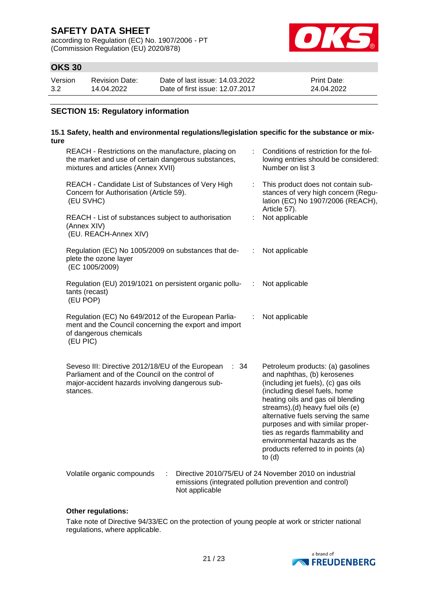according to Regulation (EC) No. 1907/2006 - PT (Commission Regulation (EU) 2020/878)



# **OKS 30**

| Version | Revision Date: | Date of last issue: 14.03.2022  | <b>Print Date:</b> |
|---------|----------------|---------------------------------|--------------------|
| 3.2     | 14.04.2022     | Date of first issue: 12.07.2017 | 24.04.2022         |

### **SECTION 15: Regulatory information**

### **15.1 Safety, health and environmental regulations/legislation specific for the substance or mixture**

| REACH - Restrictions on the manufacture, placing on<br>the market and use of certain dangerous substances,<br>mixtures and articles (Annex XVII)                           |                |  | Conditions of restriction for the fol-<br>lowing entries should be considered:<br>Number on list 3                                                                                                                                                                                                                                                                                                                  |
|----------------------------------------------------------------------------------------------------------------------------------------------------------------------------|----------------|--|---------------------------------------------------------------------------------------------------------------------------------------------------------------------------------------------------------------------------------------------------------------------------------------------------------------------------------------------------------------------------------------------------------------------|
| REACH - Candidate List of Substances of Very High<br>Concern for Authorisation (Article 59).<br>(EU SVHC)                                                                  |                |  | This product does not contain sub-<br>stances of very high concern (Regu-<br>lation (EC) No 1907/2006 (REACH),<br>Article 57).                                                                                                                                                                                                                                                                                      |
| REACH - List of substances subject to authorisation<br>(Annex XIV)<br>(EU. REACH-Annex XIV)                                                                                | t              |  | Not applicable                                                                                                                                                                                                                                                                                                                                                                                                      |
| Regulation (EC) No 1005/2009 on substances that de-<br>plete the ozone layer<br>(EC 1005/2009)                                                                             | t              |  | Not applicable                                                                                                                                                                                                                                                                                                                                                                                                      |
| Regulation (EU) 2019/1021 on persistent organic pollu-<br>tants (recast)<br>(EU POP)                                                                                       | ÷              |  | Not applicable                                                                                                                                                                                                                                                                                                                                                                                                      |
| Regulation (EC) No 649/2012 of the European Parlia-<br>ment and the Council concerning the export and import<br>of dangerous chemicals<br>(EU PIC)                         | ÷              |  | Not applicable                                                                                                                                                                                                                                                                                                                                                                                                      |
| Seveso III: Directive 2012/18/EU of the European<br>: 34<br>Parliament and of the Council on the control of<br>major-accident hazards involving dangerous sub-<br>stances. |                |  | Petroleum products: (a) gasolines<br>and naphthas, (b) kerosenes<br>(including jet fuels), (c) gas oils<br>(including diesel fuels, home<br>heating oils and gas oil blending<br>streams), (d) heavy fuel oils (e)<br>alternative fuels serving the same<br>purposes and with similar proper-<br>ties as regards flammability and<br>environmental hazards as the<br>products referred to in points (a)<br>to $(d)$ |
| Volatile organic compounds<br>÷                                                                                                                                            | Not applicable |  | Directive 2010/75/EU of 24 November 2010 on industrial<br>emissions (integrated pollution prevention and control)                                                                                                                                                                                                                                                                                                   |

#### **Other regulations:**

Take note of Directive 94/33/EC on the protection of young people at work or stricter national regulations, where applicable.

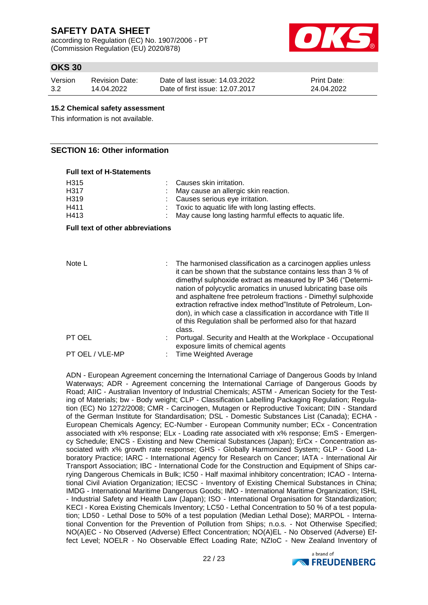according to Regulation (EC) No. 1907/2006 - PT (Commission Regulation (EU) 2020/878)



## **OKS 30**

| Version | Revision Date: | Date of last issue: 14.03.2022  | <b>Print Date:</b> |
|---------|----------------|---------------------------------|--------------------|
| 3.2     | 14.04.2022     | Date of first issue: 12.07.2017 | 24.04.2022         |

#### **15.2 Chemical safety assessment**

This information is not available.

### **SECTION 16: Other information**

#### **Full text of H-Statements**

| H <sub>315</sub><br>H317<br>H319<br>H411<br>H413 | Causes skin irritation.<br>May cause an allergic skin reaction.<br>Causes serious eye irritation.<br>Toxic to aquatic life with long lasting effects.<br>May cause long lasting harmful effects to aquatic life.                                                                                                                                                                                                                                                                                                                                |  |  |
|--------------------------------------------------|-------------------------------------------------------------------------------------------------------------------------------------------------------------------------------------------------------------------------------------------------------------------------------------------------------------------------------------------------------------------------------------------------------------------------------------------------------------------------------------------------------------------------------------------------|--|--|
| <b>Full text of other abbreviations</b>          |                                                                                                                                                                                                                                                                                                                                                                                                                                                                                                                                                 |  |  |
| Note L                                           | The harmonised classification as a carcinogen applies unless<br>it can be shown that the substance contains less than 3 % of<br>dimethyl sulphoxide extract as measured by IP 346 ("Determi-<br>nation of polycyclic aromatics in unused lubricating base oils<br>and asphaltene free petroleum fractions - Dimethyl sulphoxide<br>extraction refractive index method" Institute of Petroleum, Lon-<br>don), in which case a classification in accordance with Title II<br>of this Regulation shall be performed also for that hazard<br>class. |  |  |
| PT OEL                                           | Portugal. Security and Health at the Workplace - Occupational<br>exposure limits of chemical agents                                                                                                                                                                                                                                                                                                                                                                                                                                             |  |  |
| PT OEL / VLE-MP                                  | Time Weighted Average                                                                                                                                                                                                                                                                                                                                                                                                                                                                                                                           |  |  |

ADN - European Agreement concerning the International Carriage of Dangerous Goods by Inland Waterways; ADR - Agreement concerning the International Carriage of Dangerous Goods by Road; AIIC - Australian Inventory of Industrial Chemicals; ASTM - American Society for the Testing of Materials; bw - Body weight; CLP - Classification Labelling Packaging Regulation; Regulation (EC) No 1272/2008; CMR - Carcinogen, Mutagen or Reproductive Toxicant; DIN - Standard of the German Institute for Standardisation; DSL - Domestic Substances List (Canada); ECHA - European Chemicals Agency; EC-Number - European Community number; ECx - Concentration associated with x% response; ELx - Loading rate associated with x% response; EmS - Emergency Schedule; ENCS - Existing and New Chemical Substances (Japan); ErCx - Concentration associated with x% growth rate response; GHS - Globally Harmonized System; GLP - Good Laboratory Practice; IARC - International Agency for Research on Cancer; IATA - International Air Transport Association; IBC - International Code for the Construction and Equipment of Ships carrying Dangerous Chemicals in Bulk; IC50 - Half maximal inhibitory concentration; ICAO - International Civil Aviation Organization; IECSC - Inventory of Existing Chemical Substances in China; IMDG - International Maritime Dangerous Goods; IMO - International Maritime Organization; ISHL - Industrial Safety and Health Law (Japan); ISO - International Organisation for Standardization; KECI - Korea Existing Chemicals Inventory; LC50 - Lethal Concentration to 50 % of a test population; LD50 - Lethal Dose to 50% of a test population (Median Lethal Dose); MARPOL - International Convention for the Prevention of Pollution from Ships; n.o.s. - Not Otherwise Specified; NO(A)EC - No Observed (Adverse) Effect Concentration; NO(A)EL - No Observed (Adverse) Effect Level; NOELR - No Observable Effect Loading Rate; NZIoC - New Zealand Inventory of